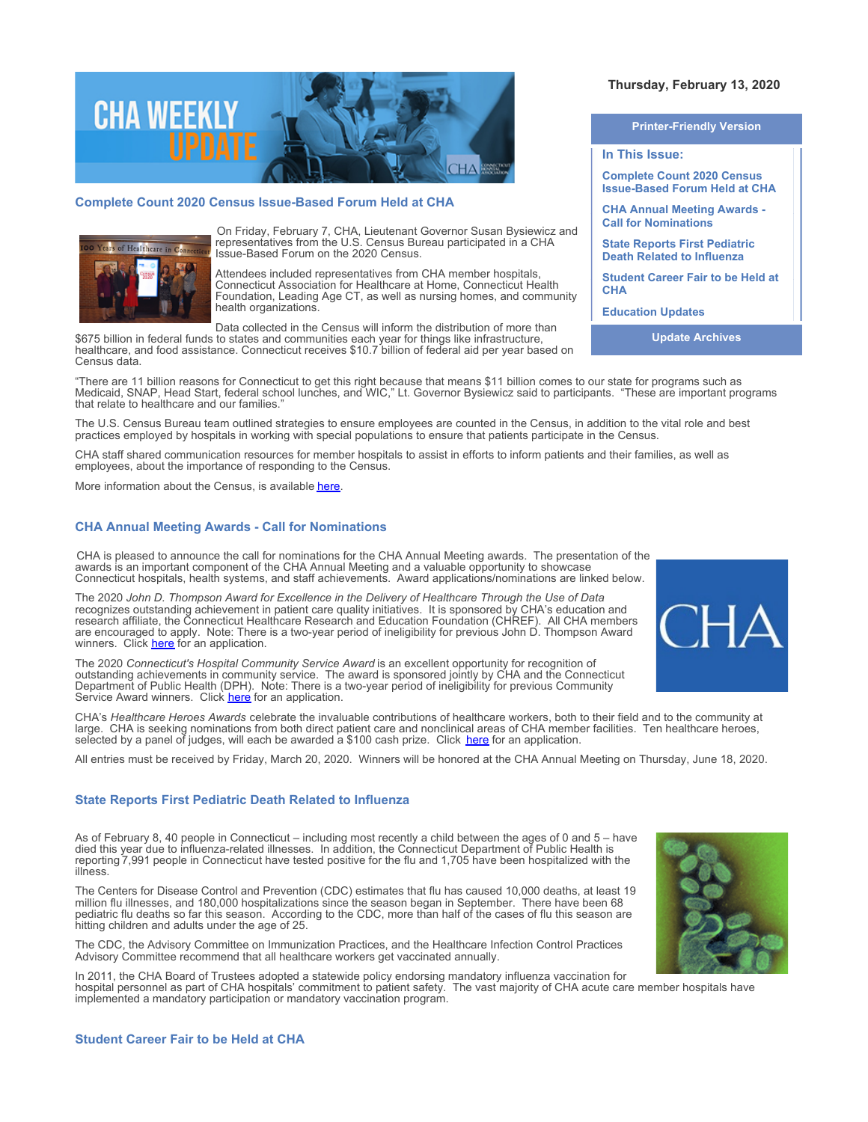

# **Complete Count 2020 Census Issue-Based Forum Held at CHA**



On Friday, February 7, CHA, Lieutenant Governor Susan Bysiewicz and representatives from the U.S. Census Bureau participated in a CHA Issue-Based Forum on the 2020 Census.

Attendees included representatives from CHA member hospitals, Connecticut Association for Healthcare at Home, Connecticut Health Foundation, Leading Age CT, as well as nursing homes, and community health organizations.

Data collected in the Census will inform the distribution of more than

\$675 billion in federal funds to states and communities each year for things like infrastructure, healthcare, and food assistance. Connecticut receives \$10.7 billion of federal aid per year based on Census data.

"There are 11 billion reasons for Connecticut to get this right because that means \$11 billion comes to our state for programs such as Medicaid, SNAP, Head Start, federal school lunches, and WIC," Lt. Governor Bysiewicz said to participants. "These are important programs that relate to healthcare and our families."

The U.S. Census Bureau team outlined strategies to ensure employees are counted in the Census, in addition to the vital role and best practices employed by hospitals in working with special populations to ensure that patients participate in the Census.

CHA staff shared communication resources for member hospitals to assist in efforts to inform patients and their families, as well as employees, about the importance of responding to the Census.

More information about the Census, is available [here](https://portal.ct.gov/census2020/Resources).

# **CHA Annual Meeting Awards - Call for Nominations**

CHA is pleased to announce the call for nominations for the CHA Annual Meeting awards. The presentation of the awards is an important component of the CHA Annual Meeting and a valuable opportunity to showcase Connecticut hospitals, health systems, and staff achievements. Award applications/nominations are linked below.

The 2020 *John D. Thompson Award for Excellence in the Delivery of Healthcare Through the Use of Data* recognizes outstanding achievement in patient care quality initiatives. It is sponsored by CHA's education and research affiliate, the Connecticut Healthcare Research and Education Foundation (CHREF). All CHA members are encouraged to apply. Note: There is a two-year period of ineligibility for previous John D. Thompson Award winners. Click [here](http://documents.cthosp.org/9/2020%20John%20D.%20Thompson%20Award%20Brochure.docx) for an application.

The 2020 *Connecticut's Hospital Community Service Award* is an excellent opportunity for recognition of outstanding achievements in community service. The award is sponsored jointly by CHA and the Connecticut Department of Public Health (DPH). Note: There is a two-year period of ineligibility for previous Community Service Award winners. Click [here](http://documents.cthosp.org/9/2020%20Community%20Svc%20Brochure.docx) for an application.

CHA's *Healthcare Heroes Awards* celebrate the invaluable contributions of healthcare workers, both to their field and to the community at large. CHA is seeking nominations from both direct patient care and nonclinical areas of CHA member facilities. Ten healthcare heroes, selected by a panel of judges, will each be awarded a \$100 cash prize. Click [here](http://documents.cthosp.org/9/2020%20Healthcare%20Heroes%20Brochure.docx) for an application.

All entries must be received by Friday, March 20, 2020. Winners will be honored at the CHA Annual Meeting on Thursday, June 18, 2020.

### **State Reports First Pediatric Death Related to Influenza**

As of February 8, 40 people in Connecticut – including most recently a child between the ages of 0 and 5 – have died this year due to influenza-related illnesses. In addition, the Connecticut Department of Public Health is reporting 7,991 people in Connecticut have tested positive for the flu and 1,705 have been hospitalized with the illness.

The Centers for Disease Control and Prevention (CDC) estimates that flu has caused 10,000 deaths, at least 19 million flu illnesses, and 180,000 hospitalizations since the season began in September. There have been 68 pediatric flu deaths so far this season. According to the CDC, more than half of the cases of flu this season are hitting children and adults under the age of 25.

The CDC, the Advisory Committee on Immunization Practices, and the Healthcare Infection Control Practices Advisory Committee recommend that all healthcare workers get vaccinated annually.

In 2011, the CHA Board of Trustees adopted a statewide policy endorsing mandatory influenza vaccination for hospital personnel as part of CHA hospitals' commitment to patient safety. The vast majority of CHA acute care member hospitals have implemented a mandatory participation or mandatory vaccination program.

**Thursday, February 13, 2020** 

**Printer-Friendly Version**

**In This Issue:**

**Complete Count 2020 Census Issue-Based Forum Held at CHA** 

**CHA Annual Meeting Awards - Call for Nominations** 

**State Reports First Pediatric Death Related to Influenza** 

**Student Career Fair to be Held at CHA** 

**Education Updates**

**Update Archives**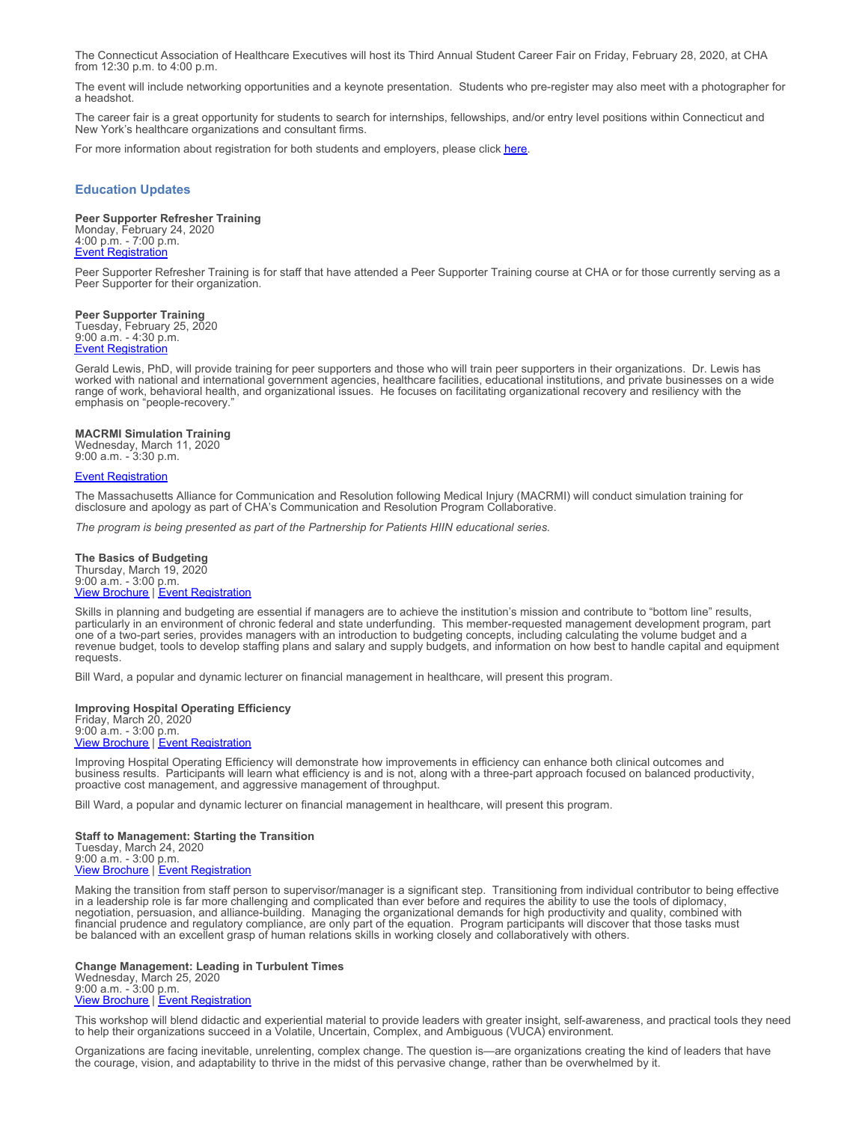The Connecticut Association of Healthcare Executives will host its Third Annual Student Career Fair on Friday, February 28, 2020, at CHA from 12:30 p.m. to 4:00 p.m.

The event will include networking opportunities and a keynote presentation. Students who pre-register may also meet with a photographer for a headshot.

The career fair is a great opportunity for students to search for internships, fellowships, and/or entry level positions within Connecticut and New York's healthcare organizations and consultant firms.

For more information about registration for both students and employers, please click [here](https://www.ctahe.org/event/ctahes-3rd-annual-student-career-fair-friday-february-28-2020/).

## **Education Updates**

**Peer Supporter Refresher Training** Monday, February 24, 2020 4:00 p.m. - 7:00 p.m. **[Event Registration](https://cthosp.org/eventcalendar/index.cfm?action=register&date=43885&id=852)** 

Peer Supporter Refresher Training is for staff that have attended a Peer Supporter Training course at CHA or for those currently serving as a Peer Supporter for their organization.

**Peer Supporter Training**

Tuesday, February 25, 2020 9:00 a.m. - 4:30 p.m. [Event Registration](https://cthosp.org/eventcalendar/index.cfm?action=register&date=43886&id=851)

Gerald Lewis, PhD, will provide training for peer supporters and those who will train peer supporters in their organizations. Dr. Lewis has worked with national and international government agencies, healthcare facilities, educational institutions, and private businesses on a wide range of work, behavioral health, and organizational issues. He focuses on facilitating organizational recovery and resiliency with the emphasis on "people-recovery."

### **MACRMI Simulation Training**

Wednesday, March 11, 2020 9:00 a.m. - 3:30 p.m.

## **[Event Registration](https://cthosp.org/eventcalendar/index.cfm?action=register&date=43901&id=850)**

The Massachusetts Alliance for Communication and Resolution following Medical Injury (MACRMI) will conduct simulation training for disclosure and apology as part of CHA's Communication and Resolution Program Collaborative.

*The program is being presented as part of the Partnership for Patients HIIN educational series.*

**The Basics of Budgeting** Thursday, March 19, 2020 9:00 a.m. - 3:00 p.m. **[View Brochure](https://cthosp.org/eventcalendar/uploads/Spring%202020%20STDates.pdf) | [Event Registration](https://cthosp.org/eventcalendar/index.cfm?action=register&date=43909&id=859)** 

Skills in planning and budgeting are essential if managers are to achieve the institution's mission and contribute to "bottom line" results, particularly in an environment of chronic federal and state underfunding. This member-requested management development program, part one of a two-part series, provides managers with an introduction to budgeting concepts, including calculating the volume budget and a revenue budget, tools to develop staffing plans and salary and supply budgets, and information on how best to handle capital and equipment requests.

Bill Ward, a popular and dynamic lecturer on financial management in healthcare, will present this program.

**Improving Hospital Operating Efficiency** Friday, March 20, 2020 9:00 a.m. - 3:00 p.m. [View Brochure](https://cthosp.org/eventcalendar/uploads/Spring%202020%20STDates.pdf) | [Event Registration](https://cthosp.org/eventcalendar/index.cfm?action=register&date=43910&id=860)

Improving Hospital Operating Efficiency will demonstrate how improvements in efficiency can enhance both clinical outcomes and business results. Participants will learn what efficiency is and is not, along with a three-part approach focused on balanced productivity, proactive cost management, and aggressive management of throughput.

Bill Ward, a popular and dynamic lecturer on financial management in healthcare, will present this program.

**Staff to Management: Starting the Transition** Tuesday, March 24, 2020 9:00 a.m. - 3:00 p.m. **[View Brochure](https://cthosp.org/eventcalendar/uploads/Spring%202020%20STDates.pdf) | [Event Registration](https://cthosp.org/eventcalendar/index.cfm?action=register&date=43914&id=861)** 

Making the transition from staff person to supervisor/manager is a significant step. Transitioning from individual contributor to being effective in a leadership role is far more challenging and complicated than ever before and requires the ability to use the tools of diplomacy, negotiation, persuasion, and alliance-building. Managing the organizational demands for high productivity and quality, combined with financial prudence and regulatory compliance, are only part of the equation. Program participants will discover that those tasks must be balanced with an excellent grasp of human relations skills in working closely and collaboratively with others.

**Change Management: Leading in Turbulent Times** Wednesday, March 25, 2020 9:00 a.m. - 3:00 p.m. [View Brochure](https://cthosp.org/eventcalendar/uploads/Spring%202020%20STDates.pdf) | [Event Registration](https://cthosp.org/eventcalendar/index.cfm?action=register&date=43915&id=862)

This workshop will blend didactic and experiential material to provide leaders with greater insight, self-awareness, and practical tools they need to help their organizations succeed in a Volatile, Uncertain, Complex, and Ambiguous (VUCA) environment.

Organizations are facing inevitable, unrelenting, complex change. The question is—are organizations creating the kind of leaders that have the courage, vision, and adaptability to thrive in the midst of this pervasive change, rather than be overwhelmed by it.